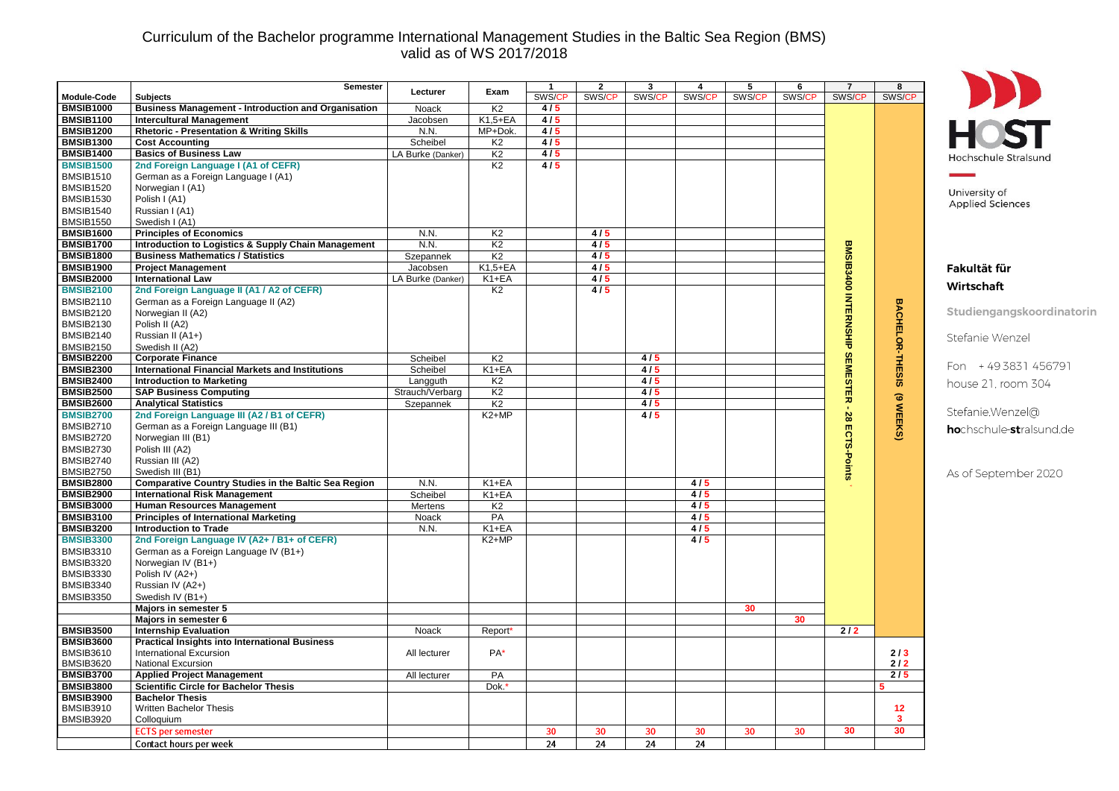## Curriculum of the Bachelor programme International Management Studies in the Baltic Sea Region (BMS) valid as of WS 2017/2018

|                                      | Semester                                                    | Lecturer          | Exam           | $\mathbf{1}$ | $\overline{2}$ | 3      | 4      | 5      | 6               | $\overline{7}$    | 8                   |                                 |
|--------------------------------------|-------------------------------------------------------------|-------------------|----------------|--------------|----------------|--------|--------|--------|-----------------|-------------------|---------------------|---------------------------------|
| <b>Module-Code</b>                   | <b>Subjects</b>                                             |                   |                | SWS/C        | SWS/CP         | SWS/CP | SWS/CF | SWS/CP | SWS/CP          | SWS/CP            | SWS/CP              |                                 |
| <b>BMSIB1000</b>                     | <b>Business Management - Introduction and Organisation</b>  | Noack             | K <sub>2</sub> | 4/5          |                |        |        |        |                 |                   |                     |                                 |
| <b>BMSIB1100</b>                     | <b>Intercultural Management</b>                             | Jacobsen          | $K1.5 + EA$    | 4/5          |                |        |        |        |                 |                   |                     | <b>HOST</b>                     |
| <b>BMSIB1200</b>                     | <b>Rhetoric - Presentation &amp; Writing Skills</b>         | N.N.              | MP+Dok.        | 4/5          |                |        |        |        |                 |                   |                     |                                 |
| <b>BMSIB1300</b>                     | <b>Cost Accounting</b>                                      | Scheibel          | K2             | 4/5          |                |        |        |        |                 |                   |                     |                                 |
| <b>BMSIB1400</b>                     | <b>Basics of Business Law</b>                               | LA Burke (Danker) | K <sub>2</sub> | 4/5          |                |        |        |        |                 |                   |                     | Hochschule Stralsunc            |
| <b>BMSIB1500</b>                     | 2nd Foreign Language I (A1 of CEFR)                         |                   | K <sub>2</sub> | 4/5          |                |        |        |        |                 |                   |                     |                                 |
| <b>BMSIB1510</b>                     | German as a Foreign Language I (A1)                         |                   |                |              |                |        |        |        |                 |                   |                     |                                 |
| <b>BMSIB1520</b>                     | Norwegian I (A1)                                            |                   |                |              |                |        |        |        |                 |                   |                     | University of                   |
| <b>BMSIB1530</b>                     | Polish I (A1)                                               |                   |                |              |                |        |        |        |                 |                   |                     | <b>Applied Sciences</b>         |
| <b>BMSIB1540</b>                     | Russian I (A1)                                              |                   |                |              |                |        |        |        |                 |                   |                     |                                 |
| <b>BMSIB1550</b>                     | Swedish I (A1)                                              |                   |                |              |                |        |        |        |                 |                   |                     |                                 |
| <b>BMSIB1600</b>                     | <b>Principles of Economics</b>                              | N.N.              | K <sub>2</sub> |              | 4/5            |        |        |        |                 |                   |                     |                                 |
| <b>BMSIB1700</b>                     | Introduction to Logistics & Supply Chain Management         | N.N.              | K <sub>2</sub> |              | 4/5            |        |        |        |                 |                   |                     |                                 |
| <b>BMSIB1800</b>                     | <b>Business Mathematics / Statistics</b>                    | Szepannek         | K <sub>2</sub> |              | 4/5            |        |        |        |                 |                   |                     |                                 |
| <b>BMSIB1900</b>                     | <b>Project Management</b>                                   | Jacobsen          | $K1,5+EA$      |              | 4/5            |        |        |        |                 |                   |                     | Fakultät für                    |
| <b>BMSIB2000</b>                     | <b>International Law</b>                                    | LA Burke (Danker) | K1+EA          |              | 4/5            |        |        |        |                 | <b>BMSIB3400</b>  |                     | Wirtschaft                      |
| <b>BMSIB2100</b>                     | 2nd Foreign Language II (A1 / A2 of CEFR)                   |                   | K <sub>2</sub> |              | 4/5            |        |        |        |                 |                   |                     |                                 |
| <b>BMSIB2110</b>                     | German as a Foreign Language II (A2)                        |                   |                |              |                |        |        |        |                 |                   |                     | Studiengangskoordinatorin       |
| <b>BMSIB2120</b>                     | Norwegian II (A2)                                           |                   |                |              |                |        |        |        |                 |                   |                     |                                 |
| <b>BMSIB2130</b>                     | Polish II (A2)                                              |                   |                |              |                |        |        |        |                 |                   |                     |                                 |
| <b>BMSIB2140</b><br><b>BMSIB2150</b> | Russian II (A1+)<br>Swedish II (A2)                         |                   |                |              |                |        |        |        |                 | <b>INTERNSHIP</b> |                     | Stefanie Wenzel                 |
| <b>BMSIB2200</b>                     | <b>Corporate Finance</b>                                    | Scheibel          | K <sub>2</sub> |              |                | 4/5    |        |        |                 |                   |                     |                                 |
| <b>BMSIB2300</b>                     | <b>International Financial Markets and Institutions</b>     | Scheibel          | K1+EA          |              |                | 4/5    |        |        |                 | <b>SEMESTER</b>   | BACHELOR-THESIS     | Fon +49 3831 456791             |
| <b>BMSIB2400</b>                     | <b>Introduction to Marketing</b>                            | Langguth          | K <sub>2</sub> |              |                | 4/5    |        |        |                 |                   |                     |                                 |
| <b>BMSIB2500</b>                     | <b>SAP Business Computing</b>                               | Strauch/Verbarg   | K <sub>2</sub> |              |                | 4/5    |        |        |                 |                   |                     | house 21, room 304              |
| <b>BMSIB2600</b>                     | <b>Analytical Statistics</b>                                | Szepannek         | K2             |              |                | 4/5    |        |        |                 |                   | $\widehat{\bullet}$ |                                 |
| <b>BMSIB2700</b>                     | 2nd Foreign Language III (A2 / B1 of CEFR)                  |                   | $K2+MP$        |              |                | 4/5    |        |        |                 |                   | <b>WEEKS</b>        | Stefanie.Wenzel@                |
| <b>BMSIB2710</b>                     | German as a Foreign Language III (B1)                       |                   |                |              |                |        |        |        |                 | 28                |                     |                                 |
| <b>BMSIB2720</b>                     | Norwegian III (B1)                                          |                   |                |              |                |        |        |        |                 |                   |                     | <b>ho</b> chschule-stralsund.de |
| <b>BMSIB2730</b>                     | Polish III (A2)                                             |                   |                |              |                |        |        |        |                 | ECTS-Points       |                     |                                 |
| <b>BMSIB2740</b>                     | Russian III (A2)                                            |                   |                |              |                |        |        |        |                 |                   |                     |                                 |
| <b>BMSIB2750</b>                     | Swedish III (B1)                                            |                   |                |              |                |        |        |        |                 |                   |                     | As of September 2020            |
| <b>BMSIB2800</b>                     | <b>Comparative Country Studies in the Baltic Sea Region</b> | N.N.              | $K1 + EA$      |              |                |        | 4/5    |        |                 |                   |                     |                                 |
| <b>BMSIB2900</b>                     | <b>International Risk Management</b>                        | Scheibel          | $K1 + EA$      |              |                |        | 4/5    |        |                 |                   |                     |                                 |
| <b>BMSIB3000</b>                     | <b>Human Resources Management</b>                           | Mertens           | K <sub>2</sub> |              |                |        | 4/5    |        |                 |                   |                     |                                 |
| <b>BMSIB3100</b>                     | <b>Principles of International Marketing</b>                | Noack             | PA             |              |                |        | 4/5    |        |                 |                   |                     |                                 |
| <b>BMSIB3200</b>                     | <b>Introduction to Trade</b>                                | N.N.              | $K1 + EA$      |              |                |        | 4/5    |        |                 |                   |                     |                                 |
| <b>BMSIB3300</b>                     | 2nd Foreign Language IV (A2+ / B1+ of CEFR)                 |                   | $K2+MP$        |              |                |        | 4/5    |        |                 |                   |                     |                                 |
| <b>BMSIB3310</b>                     | German as a Foreign Language IV (B1+)                       |                   |                |              |                |        |        |        |                 |                   |                     |                                 |
| <b>BMSIB3320</b>                     | Norwegian IV (B1+)                                          |                   |                |              |                |        |        |        |                 |                   |                     |                                 |
| <b>BMSIB3330</b>                     | Polish IV (A2+)                                             |                   |                |              |                |        |        |        |                 |                   |                     |                                 |
| <b>BMSIB3340</b>                     | Russian IV (A2+)                                            |                   |                |              |                |        |        |        |                 |                   |                     |                                 |
| <b>BMSIB3350</b>                     | Swedish IV (B1+)                                            |                   |                |              |                |        |        |        |                 |                   |                     |                                 |
|                                      | Majors in semester 5                                        |                   |                |              |                |        |        | 30     |                 |                   |                     |                                 |
|                                      | Majors in semester 6                                        |                   |                |              |                |        |        |        | 30              |                   |                     |                                 |
| <b>BMSIB3500</b>                     | <b>Internship Evaluation</b>                                | Noack             | Report*        |              |                |        |        |        |                 | $2/2$             |                     |                                 |
| <b>BMSIB3600</b>                     | <b>Practical Insights into International Business</b>       |                   |                |              |                |        |        |        |                 |                   |                     |                                 |
| <b>BMSIB3610</b>                     | <b>International Excursion</b>                              | All lecturer      | $PA*$          |              |                |        |        |        |                 |                   | 2/3                 |                                 |
| <b>BMSIB3620</b>                     | <b>National Excursion</b>                                   |                   |                |              |                |        |        |        |                 |                   | 2/2                 |                                 |
| <b>BMSIB3700</b>                     | <b>Applied Project Management</b>                           | All lecturer      | PA             |              |                |        |        |        |                 |                   | 2/5                 |                                 |
| <b>BMSIB3800</b>                     | <b>Scientific Circle for Bachelor Thesis</b>                |                   | Dok.           |              |                |        |        |        |                 |                   |                     |                                 |
| <b>BMSIB3900</b>                     | <b>Bachelor Thesis</b>                                      |                   |                |              |                |        |        |        |                 |                   |                     |                                 |
| <b>BMSIB3910</b>                     | Written Bachelor Thesis                                     |                   |                |              |                |        |        |        |                 |                   | 12                  |                                 |
| <b>BMSIB3920</b>                     | Colloquium                                                  |                   |                |              |                |        |        |        |                 |                   | 3                   |                                 |
|                                      | <b>ECTS</b> per semester                                    |                   |                | 30           | 30             | 30     | 30     | 30     | 30 <sub>o</sub> | 30                | 30                  |                                 |
|                                      | Contact hours per week                                      |                   |                | 24           | 24             | 24     | 24     |        |                 |                   |                     |                                 |
|                                      |                                                             |                   |                |              |                |        |        |        |                 |                   |                     |                                 |